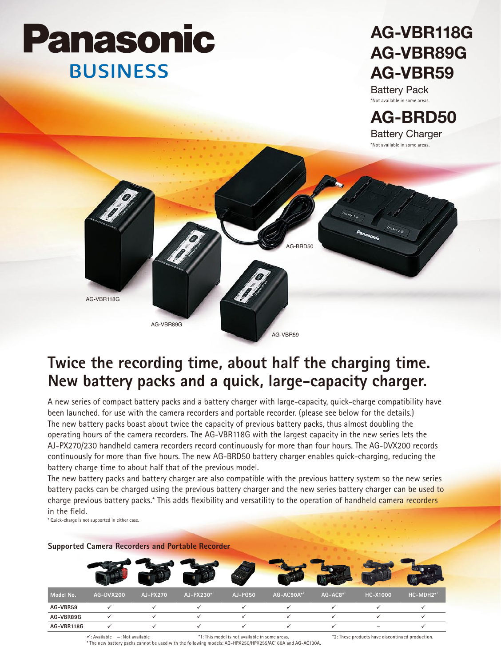# **Panasonic BUSINESS**

## **AG-VBR118G AG-VBR89G AG-VBR59**

Battery Pack \*Not available in some areas.



### **Twice the recording time, about half the charging time. New battery packs and a quick, large-capacity charger.**

A new series of compact battery packs and a battery charger with large-capacity, quick-charge compatibility have been launched. for use with the camera recorders and portable recorder. (please see below for the details.) The new battery packs boast about twice the capacity of previous battery packs, thus almost doubling the operating hours of the camera recorders. The AG-VBR118G with the largest capacity in the new series lets the AJ-PX270/230 handheld camera recorders record continuously for more than four hours. The AG-DVX200 records continuously for more than five hours. The new AG-BRD50 battery charger enables quick-charging, reducing the battery charge time to about half that of the previous model.

The new battery packs and battery charger are also compatible with the previous battery system so the new series battery packs can be charged using the previous battery charger and the new series battery charger can be used to charge previous battery packs.\* This adds flexibility and versatility to the operation of handheld camera recorders in the field.

\* Quick-charge is not supported in either case.

| Model No.  | AG-DVX200 | AJ-PX270 | AJ-PX230*1 | <b>AJ-PG50</b> | AG-AC90A*2 | $AG-AC8$ * <sup>1</sup> | <b>HC-X1000</b> | HC-MDH2*1 |
|------------|-----------|----------|------------|----------------|------------|-------------------------|-----------------|-----------|
| AG-VBR59   |           |          |            |                |            |                         |                 |           |
| AG-VBR89G  |           |          |            |                |            |                         |                 |           |
| AG-VBR118G |           |          |            |                |            |                         |                 |           |

**Supported Camera Recorders and Portable Recorder**

∨: Available —: Not available "1: This model is not available in some areas. "2: These products have discontinued production.»<br>The new battery packs cannot be used with the following models: AG-HPX250/HPX255/AC160A and AG